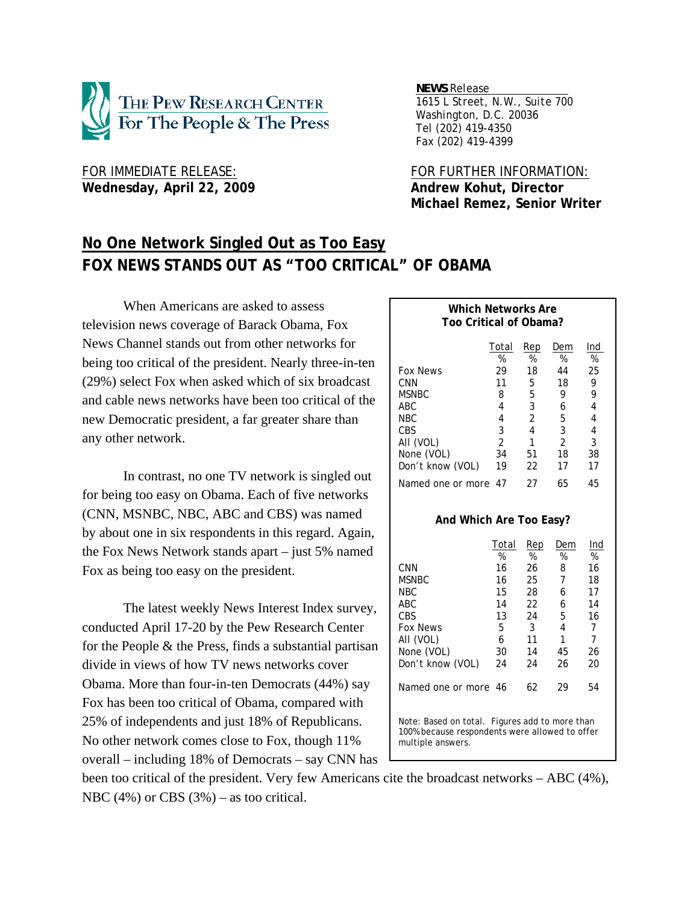

Wednesday, April 22, 2009 **Andrew Kohut, Director** 

*NEWS Release .*

 *1615 L Street, N.W., Suite 700 Washington, D.C. 20036 Tel (202) 419-4350 Fax (202) 419-4399*

FOR IMMEDIATE RELEASE: FOR FURTHER INFORMATION:  **Michael Remez, Senior Writer** 

# **No One Network Singled Out as Too Easy FOX NEWS STANDS OUT AS "TOO CRITICAL" OF OBAMA**

When Americans are asked to assess television news coverage of Barack Obama, Fox News Channel stands out from other networks for being too critical of the president. Nearly three-in-ten (29%) select Fox when asked which of six broadcast and cable news networks have been too critical of the new Democratic president, a far greater share than any other network.

In contrast, no one TV network is singled out for being too easy on Obama. Each of five networks (CNN, MSNBC, NBC, ABC and CBS) was named by about one in six respondents in this regard. Again, the Fox News Network stands apart – just 5% named Fox as being too easy on the president.

The latest weekly News Interest Index survey, conducted April 17-20 by the Pew Research Center for the People & the Press, finds a substantial partisan divide in views of how TV news networks cover Obama. More than four-in-ten Democrats (44%) say Fox has been too critical of Obama, compared with 25% of independents and just 18% of Republicans. No other network comes close to Fox, though 11% overall – including 18% of Democrats – say CNN has

| Which Networks Are<br>Too Critical of Obama?   |    |    |                |    |  |  |  |  |  |  |
|------------------------------------------------|----|----|----------------|----|--|--|--|--|--|--|
| Total<br>Ind<br>Rep<br>Dem<br>%<br>%<br>%<br>% |    |    |                |    |  |  |  |  |  |  |
| <b>Fox News</b>                                | 29 | 18 | 44             | 25 |  |  |  |  |  |  |
| CNN                                            | 11 | 5  | 18             | 9  |  |  |  |  |  |  |
| MSNBC                                          | 8  | 5  | 9              | 9  |  |  |  |  |  |  |
| ABC                                            | 4  | 3  | 6              | 4  |  |  |  |  |  |  |
| NBC                                            | 4  | 2  | 5              | 4  |  |  |  |  |  |  |
| CBS                                            | 3  | 4  | 3              | 4  |  |  |  |  |  |  |
| AII (VOL)                                      | 2  |    | $\mathfrak{D}$ | 3  |  |  |  |  |  |  |
| None (VOL)                                     | 34 | 51 | 18             | 38 |  |  |  |  |  |  |
| Don't know (VOL)                               | 19 | 22 | 17             | 17 |  |  |  |  |  |  |
| Named one or more                              | 47 | 27 | 65             | 45 |  |  |  |  |  |  |

#### **And Which Are Too Easy?**

|                                                | Total | Rep | Dem | Ind |
|------------------------------------------------|-------|-----|-----|-----|
|                                                | %     | %   | %   | %   |
| CNN                                            | 16    | 26  | 8   | 16  |
| <b>MSNBC</b>                                   | 16    | 25  | 7   | 18  |
| <b>NBC</b>                                     | 15    | 28  | 6   | 17  |
| ABC                                            | 14    | 22  | 6   | 14  |
| CBS                                            | 13    | 24  | 5   | 16  |
| <b>Fox News</b>                                | 5     | 3   | 4   | 7   |
| AII (VOL)                                      | 6     | 11  | 1   | 7   |
| None (VOL)                                     | 30    | 14  | 45  | 26  |
| Don't know (VOL)                               | 24    | 24  | 26  | 20  |
| Named one or more 46                           |       | 62  | 29  | 54  |
| Note: Based on total. Figures add to more than |       |     |     |     |

Note: Based on total. Figures add to more than 100% because respondents were allowed to offer multiple answers.

been too critical of the president. Very few Americans cite the broadcast networks – ABC (4%), NBC  $(4\%)$  or CBS  $(3\%)$  – as too critical.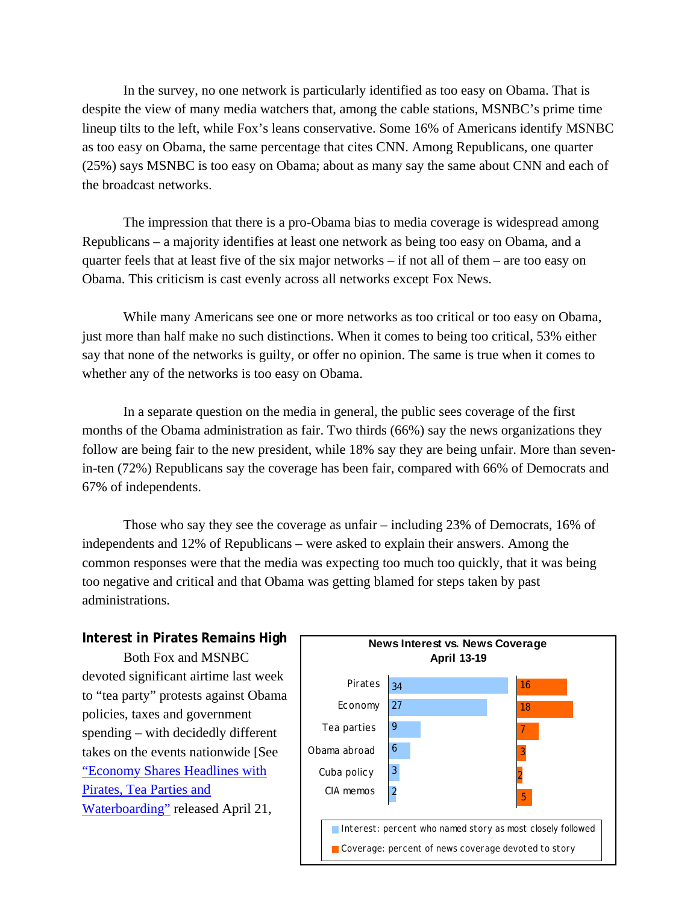In the survey, no one network is particularly identified as too easy on Obama. That is despite the view of many media watchers that, among the cable stations, MSNBC's prime time lineup tilts to the left, while Fox's leans conservative. Some 16% of Americans identify MSNBC as too easy on Obama, the same percentage that cites CNN. Among Republicans, one quarter (25%) says MSNBC is too easy on Obama; about as many say the same about CNN and each of the broadcast networks.

The impression that there is a pro-Obama bias to media coverage is widespread among Republicans – a majority identifies at least one network as being too easy on Obama, and a quarter feels that at least five of the six major networks – if not all of them – are too easy on Obama. This criticism is cast evenly across all networks except Fox News.

While many Americans see one or more networks as too critical or too easy on Obama, just more than half make no such distinctions. When it comes to being too critical, 53% either say that none of the networks is guilty, or offer no opinion. The same is true when it comes to whether any of the networks is too easy on Obama.

In a separate question on the media in general, the public sees coverage of the first months of the Obama administration as fair. Two thirds (66%) say the news organizations they follow are being fair to the new president, while 18% say they are being unfair. More than sevenin-ten (72%) Republicans say the coverage has been fair, compared with 66% of Democrats and 67% of independents.

Those who say they see the coverage as unfair – including 23% of Democrats, 16% of independents and 12% of Republicans – were asked to explain their answers. Among the common responses were that the media was expecting too much too quickly, that it was being too negative and critical and that Obama was getting blamed for steps taken by past administrations.

## **Interest in Pirates Remains High**

Both Fox and MSNBC devoted significant airtime last week to "tea party" protests against Obama policies, taxes and government spending – with decidedly different takes on the events nationwide [See "Economy Shares Headlines with Pirates, Tea Parties and Waterboarding" released April 21,

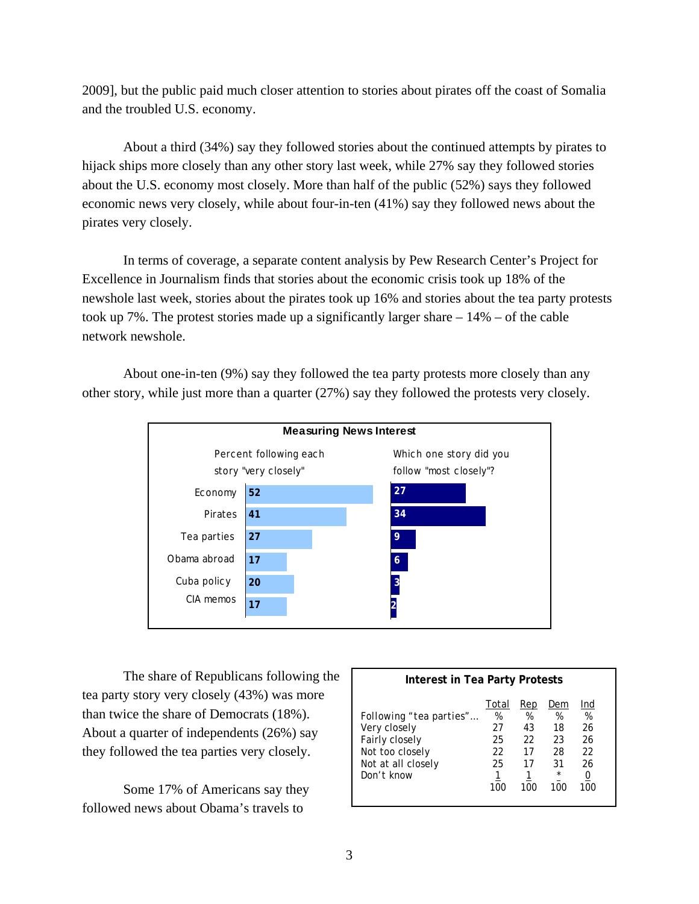2009], but the public paid much closer attention to stories about pirates off the coast of Somalia and the troubled U.S. economy.

About a third (34%) say they followed stories about the continued attempts by pirates to hijack ships more closely than any other story last week, while 27% say they followed stories about the U.S. economy most closely. More than half of the public (52%) says they followed economic news very closely, while about four-in-ten (41%) say they followed news about the pirates very closely.

In terms of coverage, a separate content analysis by Pew Research Center's Project for Excellence in Journalism finds that stories about the economic crisis took up 18% of the newshole last week, stories about the pirates took up 16% and stories about the tea party protests took up 7%. The protest stories made up a significantly larger share  $-14%$  – of the cable network newshole.

About one-in-ten (9%) say they followed the tea party protests more closely than any other story, while just more than a quarter (27%) say they followed the protests very closely.



The share of Republicans following the tea party story very closely (43%) was more than twice the share of Democrats (18%). About a quarter of independents (26%) say they followed the tea parties very closely.

Some 17% of Americans say they followed news about Obama's travels to

| <b>Interest in Tea Party Protests</b>                                                                            |                                           |                                         |                                                    |                                              |  |  |
|------------------------------------------------------------------------------------------------------------------|-------------------------------------------|-----------------------------------------|----------------------------------------------------|----------------------------------------------|--|--|
| Following "tea parties"<br>Very closely<br>Fairly closely<br>Not too closely<br>Not at all closely<br>Don't know | Total<br>%<br>27<br>25<br>22<br>25<br>100 | Rep<br>%<br>43<br>22<br>17<br>17<br>100 | Dem<br>%<br>18<br>23<br>28<br>31<br>$\star$<br>100 | Ind<br>%<br>26<br>26<br>22<br>26<br>U<br>100 |  |  |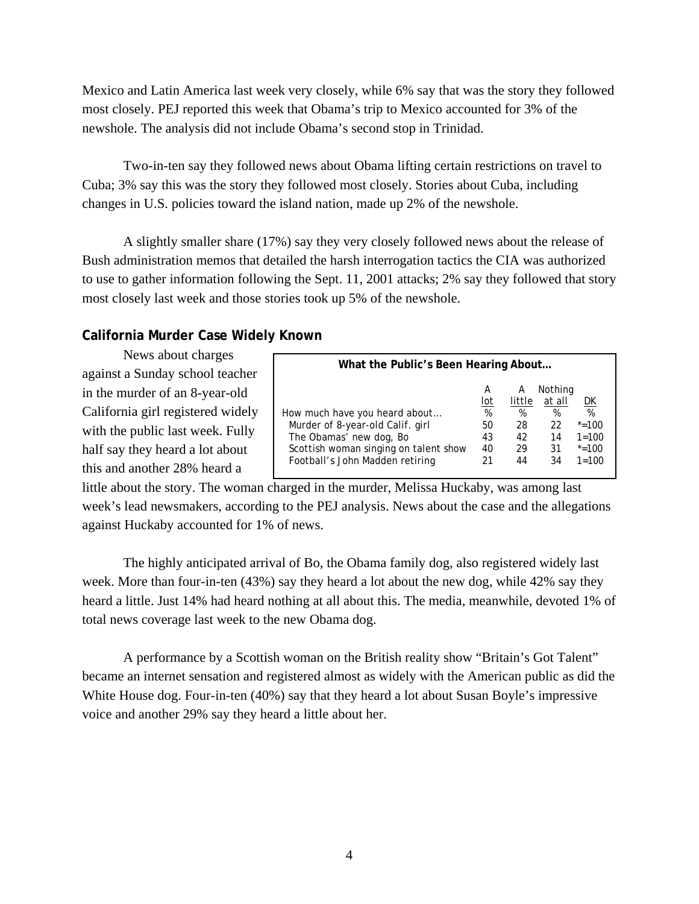Mexico and Latin America last week very closely, while 6% say that was the story they followed most closely. PEJ reported this week that Obama's trip to Mexico accounted for 3% of the newshole. The analysis did not include Obama's second stop in Trinidad.

Two-in-ten say they followed news about Obama lifting certain restrictions on travel to Cuba; 3% say this was the story they followed most closely. Stories about Cuba, including changes in U.S. policies toward the island nation, made up 2% of the newshole.

A slightly smaller share (17%) say they very closely followed news about the release of Bush administration memos that detailed the harsh interrogation tactics the CIA was authorized to use to gather information following the Sept. 11, 2001 attacks; 2% say they followed that story most closely last week and those stories took up 5% of the newshole.

## **California Murder Case Widely Known**

News about charges against a Sunday school teacher in the murder of an 8-year-old California girl registered widely with the public last week. Fully half say they heard a lot about this and another 28% heard a

| What the Public's Been Hearing About  |     |        |         |           |  |
|---------------------------------------|-----|--------|---------|-----------|--|
|                                       | A   | А      | Nothing |           |  |
|                                       | lot | little | at all  | DK        |  |
| How much have you heard about         | %   | %      | %       | %         |  |
| Murder of 8-year-old Calif. girl      | 50  | 28     | 22      | $* = 100$ |  |
| The Obamas' new dog, Bo               | 43  | 42     | 14      | $1 = 100$ |  |
| Scottish woman singing on talent show | 40  | 29     | 31      | $* = 100$ |  |
| Football's John Madden retiring       | 21  | 44     | 34      | $1 = 100$ |  |

little about the story. The woman charged in the murder, Melissa Huckaby, was among last week's lead newsmakers, according to the PEJ analysis. News about the case and the allegations against Huckaby accounted for 1% of news.

The highly anticipated arrival of Bo, the Obama family dog, also registered widely last week. More than four-in-ten (43%) say they heard a lot about the new dog, while 42% say they heard a little. Just 14% had heard nothing at all about this. The media, meanwhile, devoted 1% of total news coverage last week to the new Obama dog.

 A performance by a Scottish woman on the British reality show "Britain's Got Talent" became an internet sensation and registered almost as widely with the American public as did the White House dog. Four-in-ten (40%) say that they heard a lot about Susan Boyle's impressive voice and another 29% say they heard a little about her.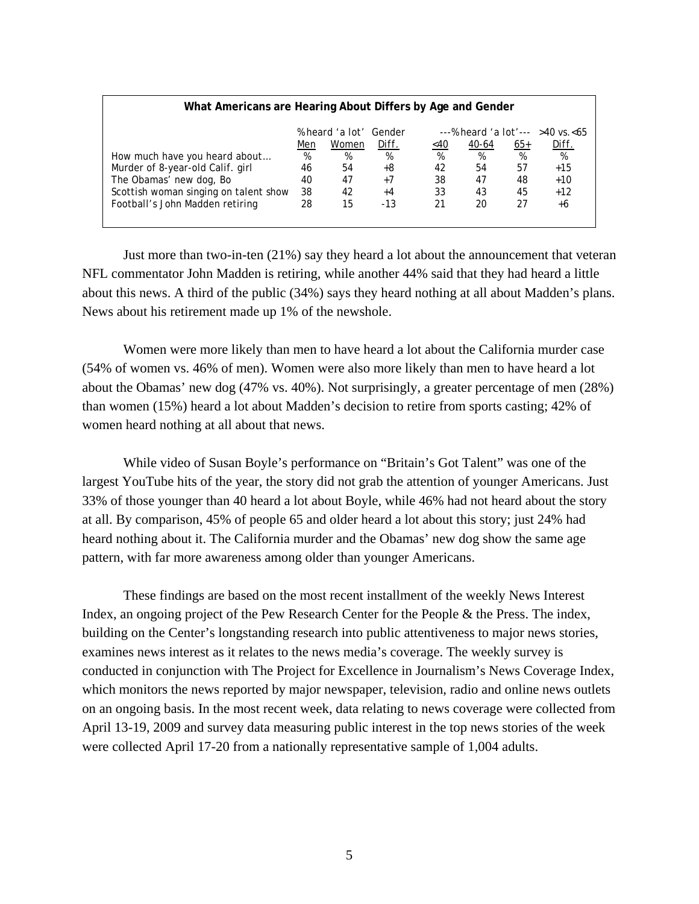## *% heard 'a lot' Gender ---% heard 'a lot'---* >*40 vs.<65*  Men Women *Diff.* <40 40-64 65+ *Diff. How much have you heard about… % % % % % % %*  Murder of 8-year-old Calif. girl 46 54 *+8* 42 54 57 *+15* The Obamas' new dog, Bo 40 47 *+7* 38 47 48 *+10* Scottish woman singing on talent show 38 42 *+4* 33 43 45 *+12* Football's John Madden retiring 28 15 *-13* 21 20 27 *+6*

**What Americans are Hearing About Differs by Age and Gender** 

Just more than two-in-ten (21%) say they heard a lot about the announcement that veteran NFL commentator John Madden is retiring, while another 44% said that they had heard a little about this news. A third of the public (34%) says they heard nothing at all about Madden's plans. News about his retirement made up 1% of the newshole.

Women were more likely than men to have heard a lot about the California murder case (54% of women vs. 46% of men). Women were also more likely than men to have heard a lot about the Obamas' new dog (47% vs. 40%). Not surprisingly, a greater percentage of men (28%) than women (15%) heard a lot about Madden's decision to retire from sports casting; 42% of women heard nothing at all about that news.

While video of Susan Boyle's performance on "Britain's Got Talent" was one of the largest YouTube hits of the year, the story did not grab the attention of younger Americans. Just 33% of those younger than 40 heard a lot about Boyle, while 46% had not heard about the story at all. By comparison, 45% of people 65 and older heard a lot about this story; just 24% had heard nothing about it. The California murder and the Obamas' new dog show the same age pattern, with far more awareness among older than younger Americans.

These findings are based on the most recent installment of the weekly News Interest Index, an ongoing project of the Pew Research Center for the People & the Press. The index, building on the Center's longstanding research into public attentiveness to major news stories, examines news interest as it relates to the news media's coverage. The weekly survey is conducted in conjunction with The Project for Excellence in Journalism's News Coverage Index, which monitors the news reported by major newspaper, television, radio and online news outlets on an ongoing basis. In the most recent week, data relating to news coverage were collected from April 13-19, 2009 and survey data measuring public interest in the top news stories of the week were collected April 17-20 from a nationally representative sample of 1,004 adults.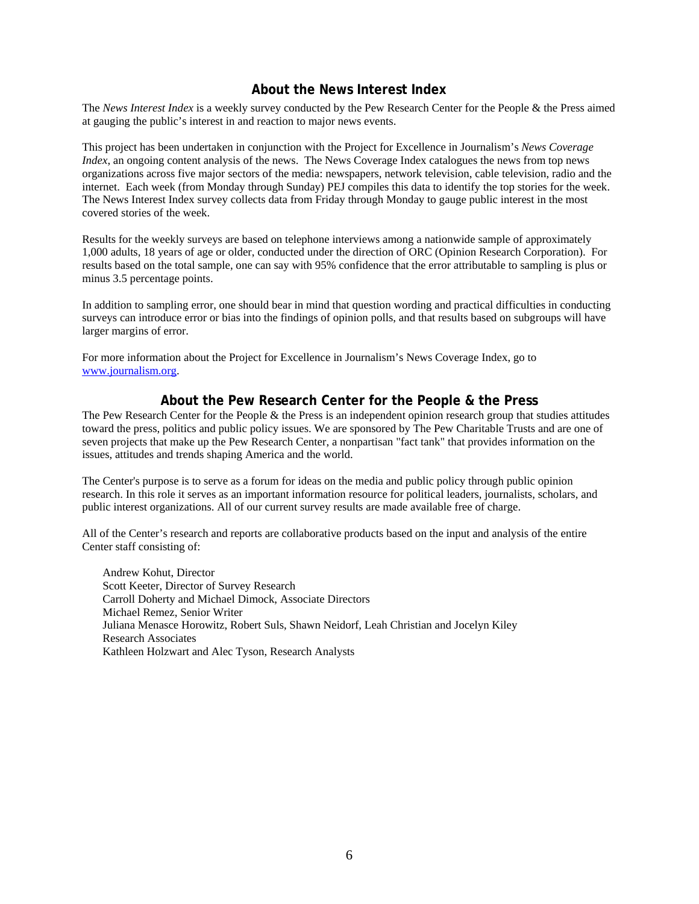### **About the News Interest Index**

The *News Interest Index* is a weekly survey conducted by the Pew Research Center for the People & the Press aimed at gauging the public's interest in and reaction to major news events.

This project has been undertaken in conjunction with the Project for Excellence in Journalism's *News Coverage Index*, an ongoing content analysis of the news. The News Coverage Index catalogues the news from top news organizations across five major sectors of the media: newspapers, network television, cable television, radio and the internet. Each week (from Monday through Sunday) PEJ compiles this data to identify the top stories for the week. The News Interest Index survey collects data from Friday through Monday to gauge public interest in the most covered stories of the week.

Results for the weekly surveys are based on telephone interviews among a nationwide sample of approximately 1,000 adults, 18 years of age or older, conducted under the direction of ORC (Opinion Research Corporation). For results based on the total sample, one can say with 95% confidence that the error attributable to sampling is plus or minus 3.5 percentage points.

In addition to sampling error, one should bear in mind that question wording and practical difficulties in conducting surveys can introduce error or bias into the findings of opinion polls, and that results based on subgroups will have larger margins of error.

For more information about the Project for Excellence in Journalism's News Coverage Index, go to www.journalism.org.

### **About the Pew Research Center for the People & the Press**

The Pew Research Center for the People & the Press is an independent opinion research group that studies attitudes toward the press, politics and public policy issues. We are sponsored by The Pew Charitable Trusts and are one of seven projects that make up the Pew Research Center, a nonpartisan "fact tank" that provides information on the issues, attitudes and trends shaping America and the world.

The Center's purpose is to serve as a forum for ideas on the media and public policy through public opinion research. In this role it serves as an important information resource for political leaders, journalists, scholars, and public interest organizations. All of our current survey results are made available free of charge.

All of the Center's research and reports are collaborative products based on the input and analysis of the entire Center staff consisting of:

 Andrew Kohut, Director Scott Keeter, Director of Survey Research Carroll Doherty and Michael Dimock, Associate Directors Michael Remez, Senior Writer Juliana Menasce Horowitz, Robert Suls, Shawn Neidorf, Leah Christian and Jocelyn Kiley Research Associates Kathleen Holzwart and Alec Tyson, Research Analysts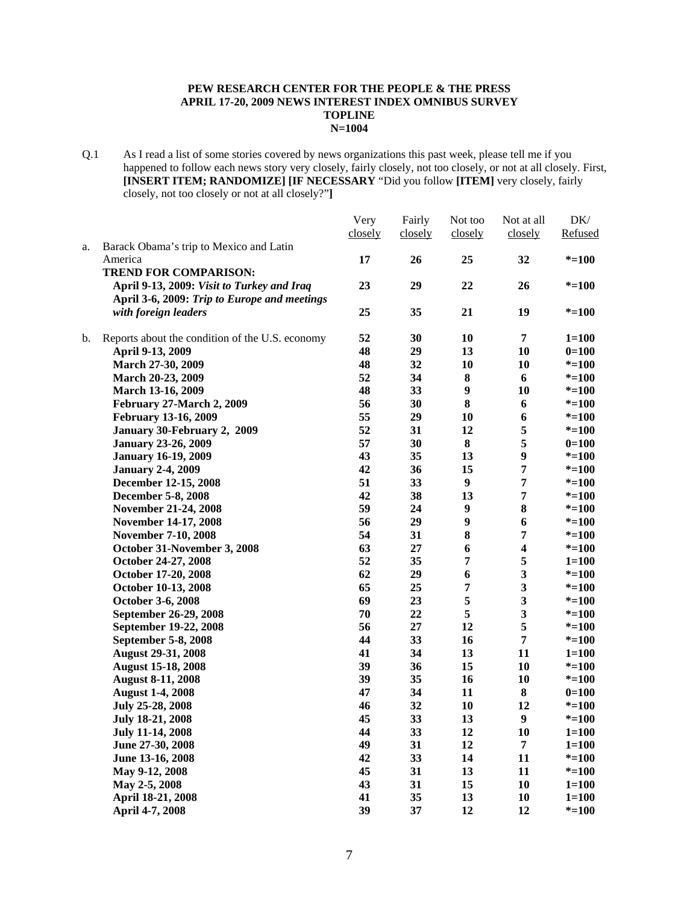#### **PEW RESEARCH CENTER FOR THE PEOPLE & THE PRESS APRIL 17-20, 2009 NEWS INTEREST INDEX OMNIBUS SURVEY TOPLINE N=1004**

Q.1 As I read a list of some stories covered by news organizations this past week, please tell me if you happened to follow each news story very closely, fairly closely, not too closely, or not at all closely. First, **[INSERT ITEM; RANDOMIZE] [IF NECESSARY** "Did you follow **[ITEM]** very closely, fairly closely, not too closely or not at all closely?"**]** 

|    |                                                 | Very    | Fairly  | Not too          | Not at all              | DK/       |
|----|-------------------------------------------------|---------|---------|------------------|-------------------------|-----------|
|    |                                                 | closely | closely | closely          | closely                 | Refused   |
| a. | Barack Obama's trip to Mexico and Latin         |         |         |                  |                         |           |
|    | America                                         | 17      | 26      | 25               | 32                      | $* = 100$ |
|    | <b>TREND FOR COMPARISON:</b>                    |         |         |                  |                         |           |
|    | April 9-13, 2009: Visit to Turkey and Iraq      | 23      | 29      | 22               | 26                      | $* = 100$ |
|    | April 3-6, 2009: Trip to Europe and meetings    |         |         |                  |                         |           |
|    | with foreign leaders                            | 25      | 35      | 21               | 19                      | $* = 100$ |
|    |                                                 |         |         |                  |                         |           |
| b. | Reports about the condition of the U.S. economy | 52      | 30      | 10               | $\overline{7}$          | $1 = 100$ |
|    | April 9-13, 2009                                | 48      | 29      | 13               | 10                      | $0=100$   |
|    | March 27-30, 2009                               | 48      | 32      | 10               | 10                      | $* = 100$ |
|    | March 20-23, 2009                               | 52      | 34      | 8                | 6                       | $* = 100$ |
|    | March 13-16, 2009                               | 48      | 33      | $\boldsymbol{9}$ | 10                      | $* = 100$ |
|    | February 27-March 2, 2009                       | 56      | 30      | 8                | 6                       | $* = 100$ |
|    | February 13-16, 2009                            | 55      | 29      | 10               | 6                       | $* = 100$ |
|    | January 30-February 2, 2009                     | 52      | 31      | 12               | 5                       | $* = 100$ |
|    | <b>January 23-26, 2009</b>                      | 57      | 30      | 8                | 5                       | $0=100$   |
|    | <b>January 16-19, 2009</b>                      | 43      | 35      | 13               | $\boldsymbol{9}$        | $* = 100$ |
|    | <b>January 2-4, 2009</b>                        | 42      | 36      | 15               | $\overline{7}$          | $* = 100$ |
|    | December 12-15, 2008                            | 51      | 33      | $\boldsymbol{9}$ | $\overline{7}$          | $* = 100$ |
|    | December 5-8, 2008                              | 42      | 38      | 13               | $\overline{7}$          | $* = 100$ |
|    | November 21-24, 2008                            | 59      | 24      | $\boldsymbol{9}$ | ${\bf 8}$               | $* = 100$ |
|    | November 14-17, 2008                            | 56      | 29      | $\boldsymbol{9}$ | 6                       | $* = 100$ |
|    | <b>November 7-10, 2008</b>                      | 54      | 31      | 8                | $\overline{7}$          | $* = 100$ |
|    | October 31-November 3, 2008                     | 63      | 27      | 6                | $\overline{\mathbf{4}}$ | $* = 100$ |
|    | October 24-27, 2008                             | 52      | 35      | 7                | $\sqrt{5}$              | $1 = 100$ |
|    | October 17-20, 2008                             | 62      | 29      | 6                | $\overline{\mathbf{3}}$ | $* = 100$ |
|    | October 10-13, 2008                             | 65      | 25      | 7                | $\mathbf{3}$            | $* = 100$ |
|    | October 3-6, 2008                               | 69      | 23      | 5                | $\mathbf{3}$            | $* = 100$ |
|    | September 26-29, 2008                           | 70      | 22      | 5                | 3                       | $* = 100$ |
|    | September 19-22, 2008                           | 56      | 27      | 12               | $\sqrt{5}$              | $* = 100$ |
|    | September 5-8, 2008                             | 44      | 33      | 16               | $\overline{7}$          | $* = 100$ |
|    | <b>August 29-31, 2008</b>                       | 41      | 34      | 13               | 11                      | $1 = 100$ |
|    | <b>August 15-18, 2008</b>                       | 39      | 36      | 15               | 10                      | $* = 100$ |
|    | <b>August 8-11, 2008</b>                        | 39      | 35      | 16               | 10                      | $* = 100$ |
|    | <b>August 1-4, 2008</b>                         | 47      | 34      | 11               | 8                       | $0=100$   |
|    | July 25-28, 2008                                | 46      | 32      | 10               | 12                      | $* = 100$ |
|    | <b>July 18-21, 2008</b>                         | 45      | 33      | 13               | $\boldsymbol{9}$        | $* = 100$ |
|    | <b>July 11-14, 2008</b>                         | 44      | 33      | 12               | 10                      | $1 = 100$ |
|    | June 27-30, 2008                                | 49      | 31      | 12               | $\overline{7}$          | $1 = 100$ |
|    | June 13-16, 2008                                | 42      | 33      | 14               | 11                      | $* = 100$ |
|    | May 9-12, 2008                                  | 45      | 31      | 13               | 11                      | $* = 100$ |
|    | May 2-5, 2008                                   | 43      | 31      | 15               | 10                      | $1 = 100$ |
|    | April 18-21, 2008                               | 41      | 35      | 13               | 10                      | $1 = 100$ |
|    | April 4-7, 2008                                 | 39      | 37      | 12               | 12                      | $* = 100$ |
|    |                                                 |         |         |                  |                         |           |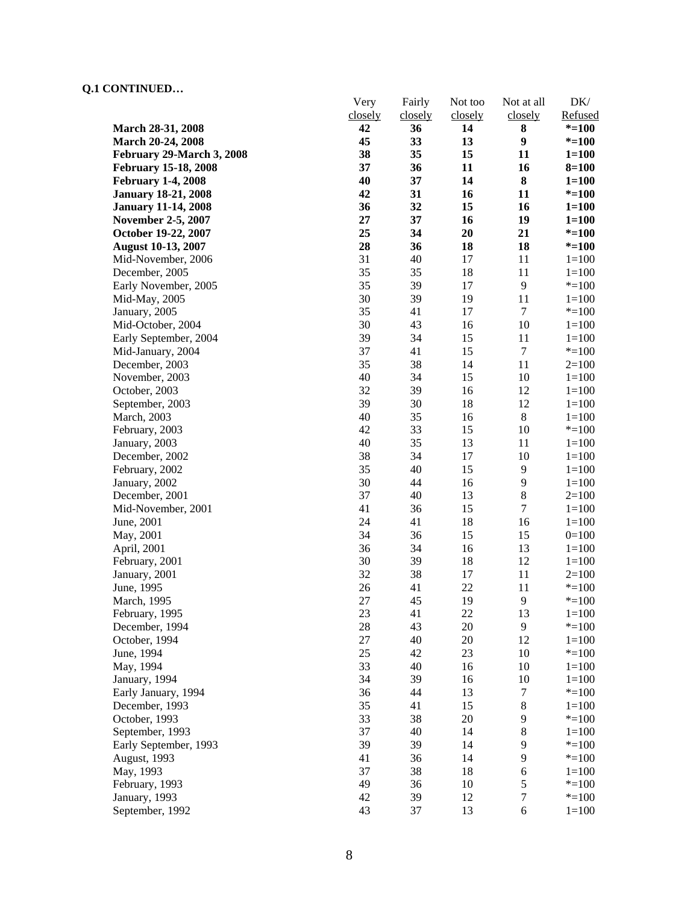### **Q.1 CONTINUED…**

|                             | Very<br>closely | Fairly<br>closely | Not too<br>closely | Not at all<br>closely | $DK/$<br>Refused |
|-----------------------------|-----------------|-------------------|--------------------|-----------------------|------------------|
| March 28-31, 2008           | 42              | 36                | 14                 | 8                     | $* = 100$        |
| March 20-24, 2008           | 45              | 33                | 13                 | $\boldsymbol{9}$      | $* = 100$        |
| February 29-March 3, 2008   | 38              | 35                | 15                 | 11                    | $1 = 100$        |
| <b>February 15-18, 2008</b> | 37              | 36                | 11                 | 16                    | $8 = 100$        |
| <b>February 1-4, 2008</b>   | 40              | 37                | 14                 | 8                     | $1 = 100$        |
| <b>January 18-21, 2008</b>  | 42              | 31                | 16                 | 11                    | $* = 100$        |
| <b>January 11-14, 2008</b>  | 36              | 32                | 15                 | 16                    | $1 = 100$        |
| <b>November 2-5, 2007</b>   | 27              | 37                | 16                 | 19                    | $1 = 100$        |
| October 19-22, 2007         | 25              | 34                | 20                 | 21                    | $* = 100$        |
| <b>August 10-13, 2007</b>   | 28              | 36                | 18                 | 18                    | $* = 100$        |
| Mid-November, 2006          | 31              | 40                | 17                 | 11                    | $1 = 100$        |
| December, 2005              | 35              | 35                | 18                 | 11                    | $1 = 100$        |
| Early November, 2005        | 35              | 39                | 17                 | $\overline{9}$        | $* = 100$        |
| Mid-May, 2005               | 30              | 39                | 19                 | 11                    | $1 = 100$        |
| January, 2005               | 35              | 41                | 17                 | $\tau$                | $* = 100$        |
| Mid-October, 2004           | 30              | 43                | 16                 | 10                    | $1 = 100$        |
| Early September, 2004       | 39              | 34                | 15                 | 11                    | $1 = 100$        |
| Mid-January, 2004           | 37              | 41                | 15                 | $\tau$                | $* = 100$        |
| December, 2003              | 35              | 38                | 14                 | 11                    | $2=100$          |
| November, 2003              | 40              | 34                | 15                 | 10                    | $1 = 100$        |
| October, 2003               | 32              | 39                | 16                 | 12                    | $1 = 100$        |
| September, 2003             | 39              | 30                | 18                 | 12                    | $1 = 100$        |
| March, 2003                 | 40              | 35                | 16                 | $8\,$                 | $1 = 100$        |
| February, 2003              | 42              | 33                | 15                 | $10\,$                | $* = 100$        |
| January, 2003               | 40              | 35                | 13                 | 11                    | $1 = 100$        |
| December, 2002              | 38              | 34                | 17                 | 10                    | $1 = 100$        |
| February, 2002              | 35              | 40                | 15                 | 9                     | $1 = 100$        |
| January, 2002               | 30              | 44                | 16                 | 9                     | $1 = 100$        |
| December, 2001              | 37              | 40                | 13                 | $8\,$                 | $2=100$          |
| Mid-November, 2001          | 41              | 36                | 15                 | $\boldsymbol{7}$      | $1 = 100$        |
| June, 2001                  | 24              | 41                | 18                 | 16                    | $1 = 100$        |
| May, 2001                   | 34              | 36                | 15                 | 15                    | $0=100$          |
| April, 2001                 | 36              | 34                | 16                 | 13                    | $1 = 100$        |
| February, 2001              | 30              | 39                | 18                 | 12                    | $1 = 100$        |
| January, 2001               | 32              | 38                | 17                 | 11                    | $2=100$          |
| June, 1995                  | 26              | 41                | 22                 | 11                    | $* = 100$        |
| March, 1995                 | 27              | 45                | 19                 | 9                     | $* = 100$        |
| February, 1995              | 23              | 41                | 22                 | 13                    | $1 = 100$        |
| December, 1994              | 28              | 43                | 20                 | 9                     | $* = 100$        |
| October, 1994               | 27              | 40                | 20                 | 12                    | $1 = 100$        |
| June, 1994                  | 25              | 42                | 23                 | 10                    | $* = 100$        |
| May, 1994                   | 33              | 40                | 16                 | 10                    | $1 = 100$        |
| January, 1994               | 34              | 39                | 16                 | 10                    | $1 = 100$        |
| Early January, 1994         | 36              | 44                | 13                 | 7                     | $* = 100$        |
| December, 1993              | 35              | 41                | 15                 | $8\,$                 | $1 = 100$        |
| October, 1993               | 33              | 38                | 20                 | 9                     | $* = 100$        |
| September, 1993             | 37              | 40                | 14                 | $8\,$                 | $1 = 100$        |
| Early September, 1993       | 39              | 39                | 14                 | 9                     | $* = 100$        |
| <b>August</b> , 1993        | 41              | 36                | 14                 | 9                     | $* = 100$        |
| May, 1993                   | 37              | 38                | 18                 | 6                     | $1 = 100$        |
| February, 1993              | 49              | 36                | 10                 | 5                     | $* = 100$        |
| January, 1993               | 42              | 39                | 12                 | $\boldsymbol{7}$      | $* = 100$        |
| September, 1992             | 43              | 37                | 13                 | 6                     | $1 = 100$        |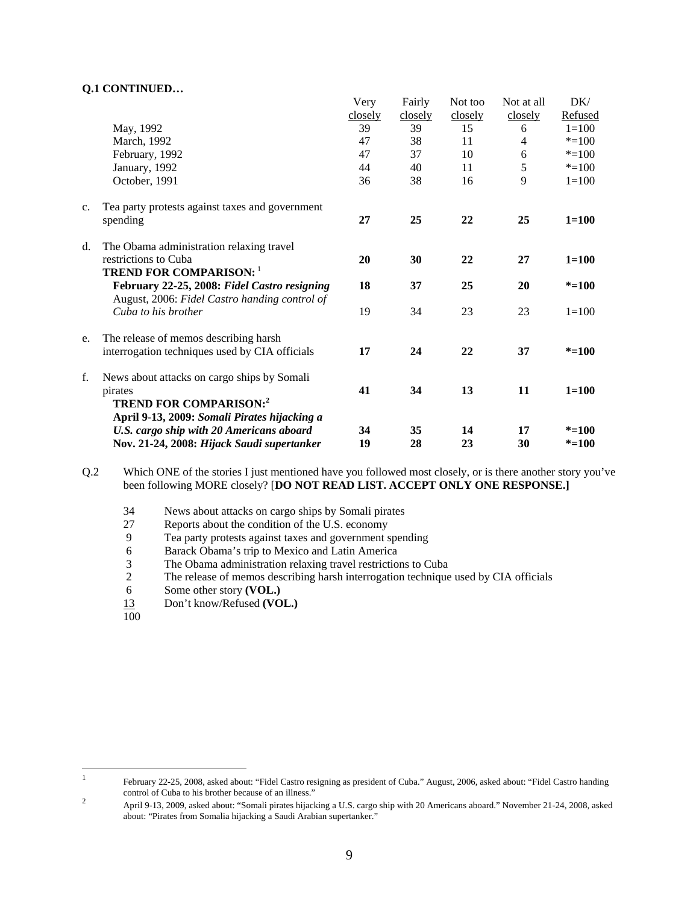#### **Q.1 CONTINUED…**

|    |                                                                                               | Very    | Fairly  | Not too | Not at all | DK/       |
|----|-----------------------------------------------------------------------------------------------|---------|---------|---------|------------|-----------|
|    |                                                                                               | closely | closely | closely | closely    | Refused   |
|    | May, 1992                                                                                     | 39      | 39      | 15      | 6          | $1 = 100$ |
|    | March, 1992                                                                                   | 47      | 38      | 11      | 4          | $* = 100$ |
|    | February, 1992                                                                                | 47      | 37      | 10      | 6          | $* = 100$ |
|    | January, 1992                                                                                 | 44      | 40      | 11      | 5          | $* = 100$ |
|    | October, 1991                                                                                 | 36      | 38      | 16      | 9          | $1 = 100$ |
| c. | Tea party protests against taxes and government                                               |         |         |         |            |           |
|    | spending                                                                                      | 27      | 25      | 22      | 25         | $1 = 100$ |
| d. | The Obama administration relaxing travel                                                      |         |         |         |            |           |
|    | restrictions to Cuba                                                                          | 20      | 30      | 22      | 27         | $1 = 100$ |
|    | <b>TREND FOR COMPARISON: 1</b>                                                                |         |         |         |            |           |
|    | February 22-25, 2008: Fidel Castro resigning<br>August, 2006: Fidel Castro handing control of | 18      | 37      | 25      | 20         | $* = 100$ |
|    | Cuba to his brother                                                                           | 19      | 34      | 23      | 23         | $1 = 100$ |
| e. | The release of memos describing harsh                                                         |         |         |         |            |           |
|    | interrogation techniques used by CIA officials                                                | 17      | 24      | 22      | 37         | $* = 100$ |
| f. | News about attacks on cargo ships by Somali                                                   |         |         |         |            |           |
|    | pirates                                                                                       | 41      | 34      | 13      | 11         | $1 = 100$ |
|    | <b>TREND FOR COMPARISON:2</b><br>April 9-13, 2009: Somali Pirates hijacking a                 |         |         |         |            |           |
|    | U.S. cargo ship with 20 Americans aboard                                                      | 34      | 35      | 14      | 17         | $* = 100$ |
|    | Nov. 21-24, 2008: Hijack Saudi supertanker                                                    | 19      | 28      | 23      | 30         | $* = 100$ |

- Q.2 Which ONE of the stories I just mentioned have you followed most closely, or is there another story you've been following MORE closely? [**DO NOT READ LIST. ACCEPT ONLY ONE RESPONSE.]** 
	- 34 News about attacks on cargo ships by Somali pirates
	- 27 Reports about the condition of the U.S. economy
	- 9 Tea party protests against taxes and government spending
	- 6 Barack Obama's trip to Mexico and Latin America
	- 3 The Obama administration relaxing travel restrictions to Cuba
	- 2 The release of memos describing harsh interrogation technique used by CIA officials<br>6 Some other story (VOL.)
	- 6 Some other story **(VOL.)**
	- 13 Don't know/Refused **(VOL.)**
	- $\overline{100}$

 $\frac{1}{1}$  February 22-25, 2008, asked about: "Fidel Castro resigning as president of Cuba." August, 2006, asked about: "Fidel Castro handing control of Cuba to his brother because of an illness."<br>2<br>April 0.12, 2000, a shad short "Samali sinter hije d

April 9-13, 2009, asked about: "Somali pirates hijacking a U.S. cargo ship with 20 Americans aboard." November 21-24, 2008, asked about: "Pirates from Somalia hijacking a Saudi Arabian supertanker."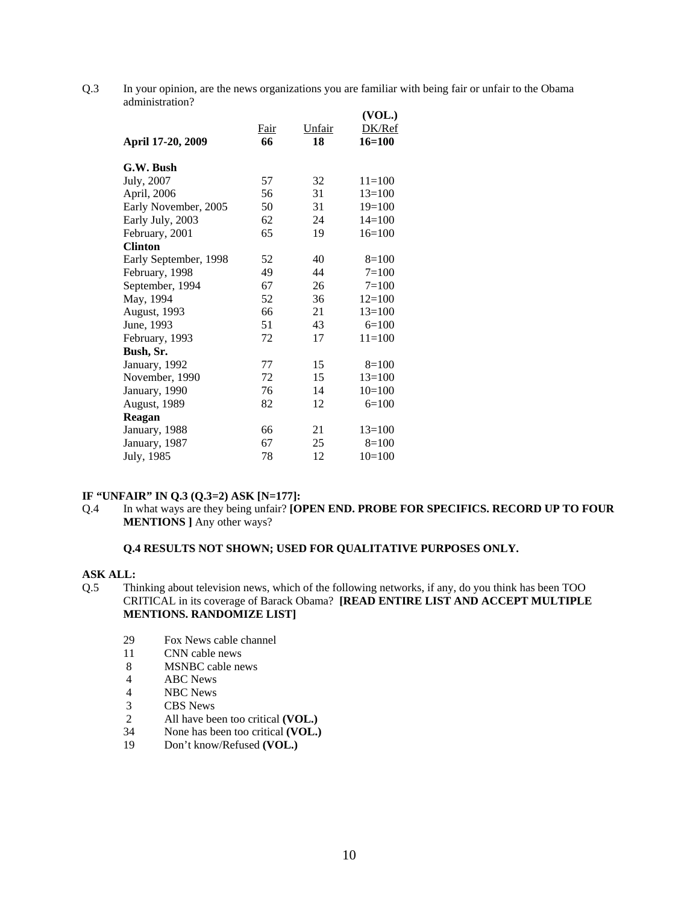Q.3 In your opinion, are the news organizations you are familiar with being fair or unfair to the Obama administration?

| April 17-20, 2009     | <b>Fair</b><br>66 | Unfair<br>18 | (VOL.)<br>DK/Ref<br>16=100 |
|-----------------------|-------------------|--------------|----------------------------|
| G.W. Bush             |                   |              |                            |
| July, 2007            | 57                | 32           | $11=100$                   |
| April, 2006           | 56                | 31           | $13=100$                   |
| Early November, 2005  | 50                | 31           | $19=100$                   |
| Early July, 2003      | 62                | 24           | $14=100$                   |
| February, 2001        | 65                | 19           | $16=100$                   |
| <b>Clinton</b>        |                   |              |                            |
| Early September, 1998 | 52                | 40           | $8=100$                    |
| February, 1998        | 49                | 44           | $7 = 100$                  |
| September, 1994       | 67                | 26           | $7 = 100$                  |
| May, 1994             | 52                | 36           | $12=100$                   |
| August, 1993          | 66                | 21           | $13=100$                   |
| June, 1993            | 51                | 43           | $6=100$                    |
| February, 1993        | 72                | 17           | $11=100$                   |
| Bush, Sr.             |                   |              |                            |
| January, 1992         | 77                | 15           | $8=100$                    |
| November, 1990        | 72                | 15           | $13=100$                   |
| January, 1990         | 76                | 14           | $10=100$                   |
| August, 1989          | 82                | 12           | $6=100$                    |
| Reagan                |                   |              |                            |
| January, 1988         | 66                | 21           | $13=100$                   |
| January, 1987         | 67                | 25           | $8=100$                    |
| July, 1985            | 78                | 12           | $10=100$                   |
|                       |                   |              |                            |

### **IF "UNFAIR" IN Q.3 (Q.3=2) ASK [N=177]:**

Q.4 In what ways are they being unfair? **[OPEN END. PROBE FOR SPECIFICS. RECORD UP TO FOUR MENTIONS ]** Any other ways?

#### **Q.4 RESULTS NOT SHOWN; USED FOR QUALITATIVE PURPOSES ONLY.**

#### **ASK ALL:**

- Q.5 Thinking about television news, which of the following networks, if any, do you think has been TOO CRITICAL in its coverage of Barack Obama? **[READ ENTIRE LIST AND ACCEPT MULTIPLE MENTIONS. RANDOMIZE LIST]**
	- 29 Fox News cable channel
	- 11 CNN cable news
	- 8 MSNBC cable news<br>4 ABC News
	- ABC News
	- 4 NBC News
	- 3 CBS News<br>2 All have be
	- All have been too critical **(VOL.)**
	- 34 None has been too critical **(VOL.)**
	- 19 Don't know/Refused **(VOL.)**